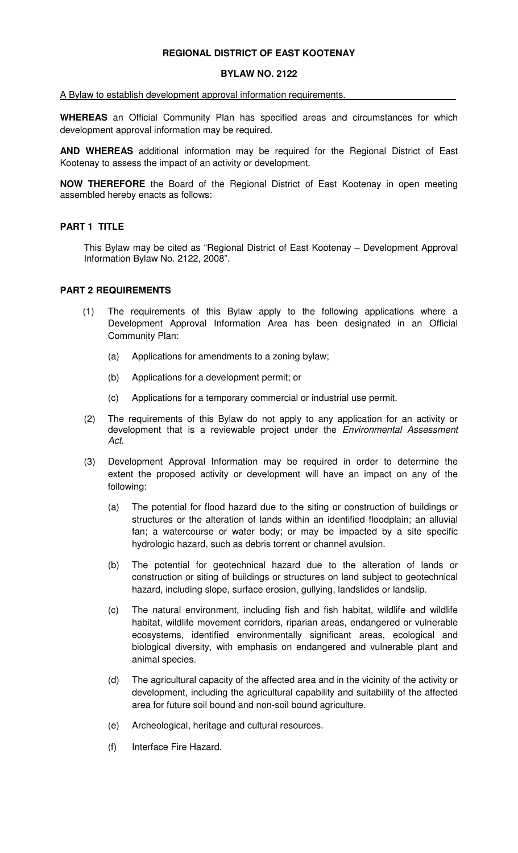#### **REGIONAL DISTRICT OF EAST KOOTENAY**

#### **BYLAW NO. 2122**

# A Bylaw to establish development approval information requirements.

**WHEREAS** an Official Community Plan has specified areas and circumstances for which development approval information may be required.

**AND WHEREAS** additional information may be required for the Regional District of East Kootenay to assess the impact of an activity or development.

**NOW THEREFORE** the Board of the Regional District of East Kootenay in open meeting assembled hereby enacts as follows:

# **PART 1 TITLE**

 This Bylaw may be cited as "Regional District of East Kootenay – Development Approval Information Bylaw No. 2122, 2008".

#### **PART 2 REQUIREMENTS**

- (1) The requirements of this Bylaw apply to the following applications where a Development Approval Information Area has been designated in an Official Community Plan:
	- (a) Applications for amendments to a zoning bylaw;
	- (b) Applications for a development permit; or
	- (c) Applications for a temporary commercial or industrial use permit.
- (2) The requirements of this Bylaw do not apply to any application for an activity or development that is a reviewable project under the Environmental Assessment Act.
- (3) Development Approval Information may be required in order to determine the extent the proposed activity or development will have an impact on any of the following:
	- (a) The potential for flood hazard due to the siting or construction of buildings or structures or the alteration of lands within an identified floodplain; an alluvial fan; a watercourse or water body; or may be impacted by a site specific hydrologic hazard, such as debris torrent or channel avulsion.
	- (b) The potential for geotechnical hazard due to the alteration of lands or construction or siting of buildings or structures on land subject to geotechnical hazard, including slope, surface erosion, gullying, landslides or landslip.
	- (c) The natural environment, including fish and fish habitat, wildlife and wildlife habitat, wildlife movement corridors, riparian areas, endangered or vulnerable ecosystems, identified environmentally significant areas, ecological and biological diversity, with emphasis on endangered and vulnerable plant and animal species.
	- (d) The agricultural capacity of the affected area and in the vicinity of the activity or development, including the agricultural capability and suitability of the affected area for future soil bound and non-soil bound agriculture.
	- (e) Archeological, heritage and cultural resources.
	- (f) Interface Fire Hazard.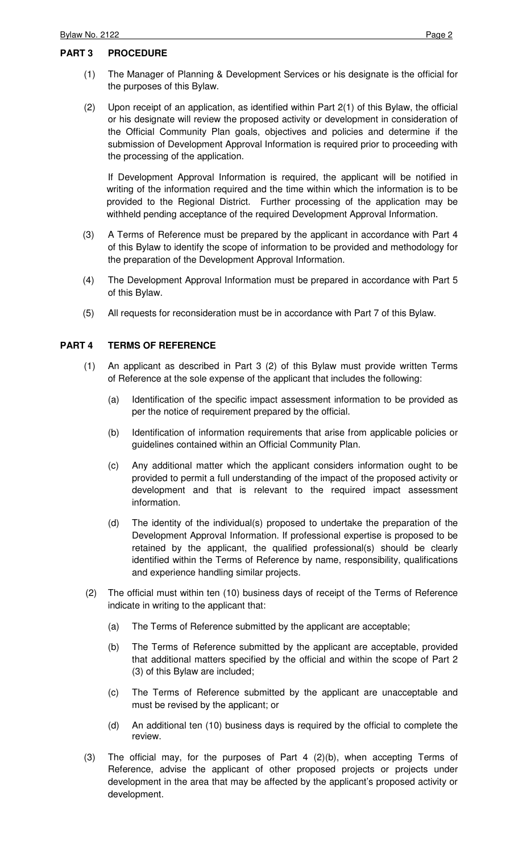#### **PART 3 PROCEDURE**

- (1) The Manager of Planning & Development Services or his designate is the official for the purposes of this Bylaw.
- (2) Upon receipt of an application, as identified within Part 2(1) of this Bylaw, the official or his designate will review the proposed activity or development in consideration of the Official Community Plan goals, objectives and policies and determine if the submission of Development Approval Information is required prior to proceeding with the processing of the application.

 If Development Approval Information is required, the applicant will be notified in writing of the information required and the time within which the information is to be provided to the Regional District. Further processing of the application may be withheld pending acceptance of the required Development Approval Information.

- (3) A Terms of Reference must be prepared by the applicant in accordance with Part 4 of this Bylaw to identify the scope of information to be provided and methodology for the preparation of the Development Approval Information.
- (4) The Development Approval Information must be prepared in accordance with Part 5 of this Bylaw.
- (5) All requests for reconsideration must be in accordance with Part 7 of this Bylaw.

# **PART 4 TERMS OF REFERENCE**

- (1) An applicant as described in Part 3 (2) of this Bylaw must provide written Terms of Reference at the sole expense of the applicant that includes the following:
	- (a) Identification of the specific impact assessment information to be provided as per the notice of requirement prepared by the official.
	- (b) Identification of information requirements that arise from applicable policies or guidelines contained within an Official Community Plan.
	- (c) Any additional matter which the applicant considers information ought to be provided to permit a full understanding of the impact of the proposed activity or development and that is relevant to the required impact assessment information.
	- (d) The identity of the individual(s) proposed to undertake the preparation of the Development Approval Information. If professional expertise is proposed to be retained by the applicant, the qualified professional(s) should be clearly identified within the Terms of Reference by name, responsibility, qualifications and experience handling similar projects.
- (2) The official must within ten (10) business days of receipt of the Terms of Reference indicate in writing to the applicant that:
	- (a) The Terms of Reference submitted by the applicant are acceptable;
	- (b) The Terms of Reference submitted by the applicant are acceptable, provided that additional matters specified by the official and within the scope of Part 2 (3) of this Bylaw are included;
	- (c) The Terms of Reference submitted by the applicant are unacceptable and must be revised by the applicant; or
	- (d) An additional ten (10) business days is required by the official to complete the review.
- (3) The official may, for the purposes of Part 4 (2)(b), when accepting Terms of Reference, advise the applicant of other proposed projects or projects under development in the area that may be affected by the applicant's proposed activity or development.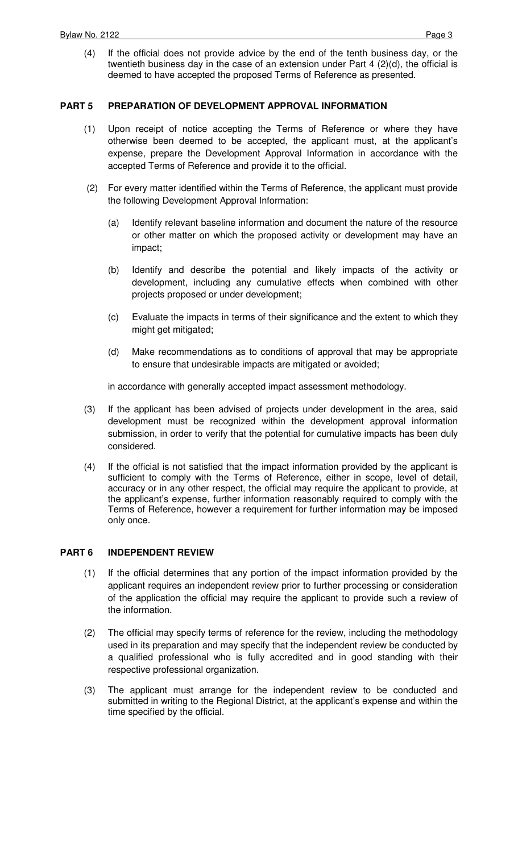(4) If the official does not provide advice by the end of the tenth business day, or the twentieth business day in the case of an extension under Part 4 (2)(d), the official is deemed to have accepted the proposed Terms of Reference as presented.

# **PART 5 PREPARATION OF DEVELOPMENT APPROVAL INFORMATION**

- (1) Upon receipt of notice accepting the Terms of Reference or where they have otherwise been deemed to be accepted, the applicant must, at the applicant's expense, prepare the Development Approval Information in accordance with the accepted Terms of Reference and provide it to the official.
- (2) For every matter identified within the Terms of Reference, the applicant must provide the following Development Approval Information:
	- (a) Identify relevant baseline information and document the nature of the resource or other matter on which the proposed activity or development may have an impact;
	- (b) Identify and describe the potential and likely impacts of the activity or development, including any cumulative effects when combined with other projects proposed or under development;
	- (c) Evaluate the impacts in terms of their significance and the extent to which they might get mitigated;
	- (d) Make recommendations as to conditions of approval that may be appropriate to ensure that undesirable impacts are mitigated or avoided;

in accordance with generally accepted impact assessment methodology.

- (3) If the applicant has been advised of projects under development in the area, said development must be recognized within the development approval information submission, in order to verify that the potential for cumulative impacts has been duly considered.
- (4) If the official is not satisfied that the impact information provided by the applicant is sufficient to comply with the Terms of Reference, either in scope, level of detail, accuracy or in any other respect, the official may require the applicant to provide, at the applicant's expense, further information reasonably required to comply with the Terms of Reference, however a requirement for further information may be imposed only once.

# **PART 6 INDEPENDENT REVIEW**

- (1) If the official determines that any portion of the impact information provided by the applicant requires an independent review prior to further processing or consideration of the application the official may require the applicant to provide such a review of the information.
- (2) The official may specify terms of reference for the review, including the methodology used in its preparation and may specify that the independent review be conducted by a qualified professional who is fully accredited and in good standing with their respective professional organization.
- (3) The applicant must arrange for the independent review to be conducted and submitted in writing to the Regional District, at the applicant's expense and within the time specified by the official.